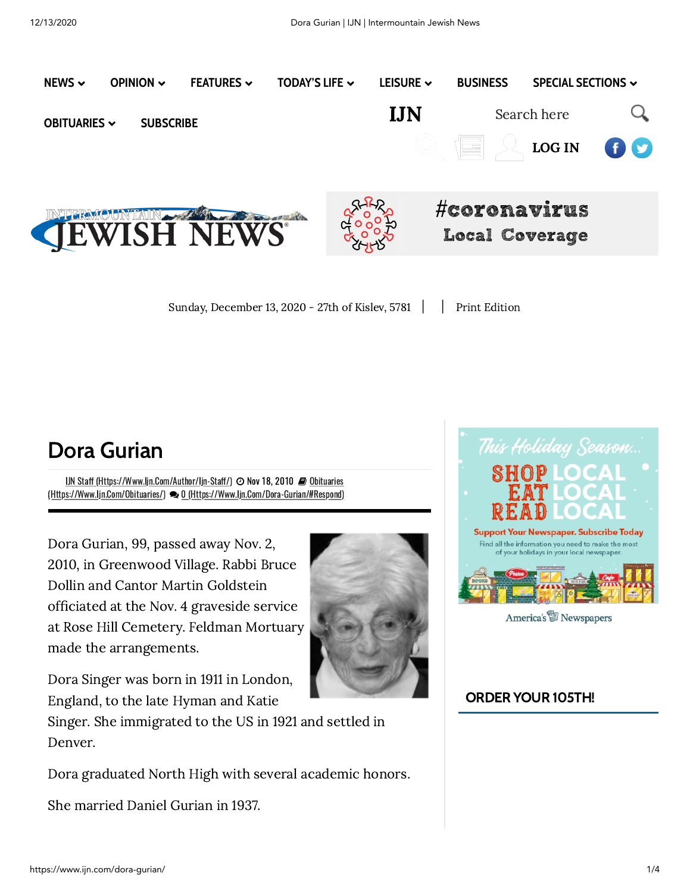

Sunday, December 13, 2020 - 27th of Kislev, 5781 | | Print [Edition](https://www.ijn.com/my-account/)

## Dora Gurian

IJN Staff (Https://Www.lin.Com/Author/lin-Staff/)  $\Theta$  Nov 18, 2010  $\blacksquare$  Obituaries (Https://Www.Ijn.Com/Obituaries/) 0 [\(Https://Www.Ijn.Com/Dora-Gurian/#Respond\)](https://www.ijn.com/obituaries/)

Dora Gurian, 99, passed away Nov. 2, 2010, in Greenwood Village. Rabbi Bruce Dollin and Cantor Martin Goldstein officiated at the Nov. 4 graveside service at Rose Hill Cemetery. Feldman Mortuary made the arrangements.



Dora Singer was born in 1911 in London, England, to the late Hyman and Katie

Singer. She immigrated to the US in 1921 and settled in Denver.

Dora graduated North High with several academic honors.

She married Daniel Gurian in 1937.



America's **Newspapers** 

## ORDER YOUR 105TH!